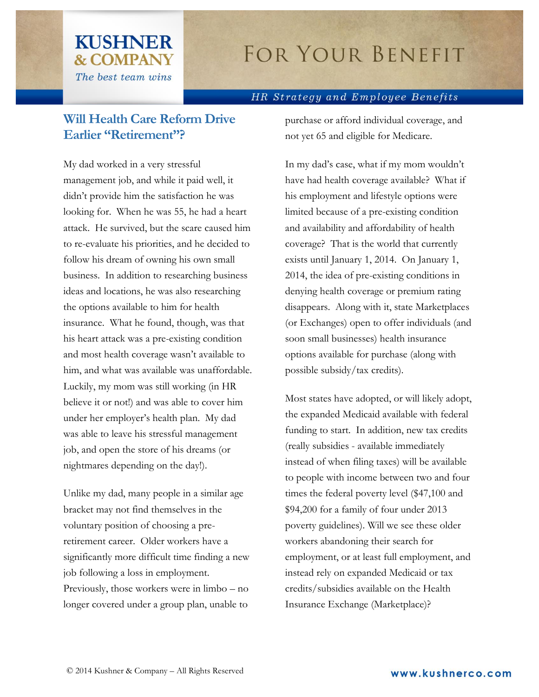## **FOR YOUR BENEFIT**

## HR Strategy and Employee Benefits

## **Will Health Care Reform Drive Earlier "Retirement"?**

**KUSHNER** 

**& COMPANY** 

The best team wins

My dad worked in a very stressful management job, and while it paid well, it didn't provide him the satisfaction he was looking for. When he was 55, he had a heart attack. He survived, but the scare caused him to re-evaluate his priorities, and he decided to follow his dream of owning his own small business. In addition to researching business ideas and locations, he was also researching the options available to him for health insurance. What he found, though, was that his heart attack was a pre-existing condition and most health coverage wasn't available to him, and what was available was unaffordable. Luckily, my mom was still working (in HR believe it or not!) and was able to cover him under her employer's health plan. My dad was able to leave his stressful management job, and open the store of his dreams (or nightmares depending on the day!).

Unlike my dad, many people in a similar age bracket may not find themselves in the voluntary position of choosing a preretirement career. Older workers have a significantly more difficult time finding a new job following a loss in employment. Previously, those workers were in limbo – no longer covered under a group plan, unable to

purchase or afford individual coverage, and not yet 65 and eligible for Medicare.

In my dad's case, what if my mom wouldn't have had health coverage available? What if his employment and lifestyle options were limited because of a pre-existing condition and availability and affordability of health coverage? That is the world that currently exists until January 1, 2014. On January 1, 2014, the idea of pre-existing conditions in denying health coverage or premium rating disappears. Along with it, state Marketplaces (or Exchanges) open to offer individuals (and soon small businesses) health insurance options available for purchase (along with possible subsidy/tax credits).

Most states have adopted, or will likely adopt, the expanded Medicaid available with federal funding to start. In addition, new tax credits (really subsidies - available immediately instead of when filing taxes) will be available to people with income between two and four times the federal poverty level (\$47,100 and \$94,200 for a family of four under 2013 poverty guidelines). Will we see these older workers abandoning their search for employment, or at least full employment, and instead rely on expanded Medicaid or tax credits/subsidies available on the Health Insurance Exchange (Marketplace)?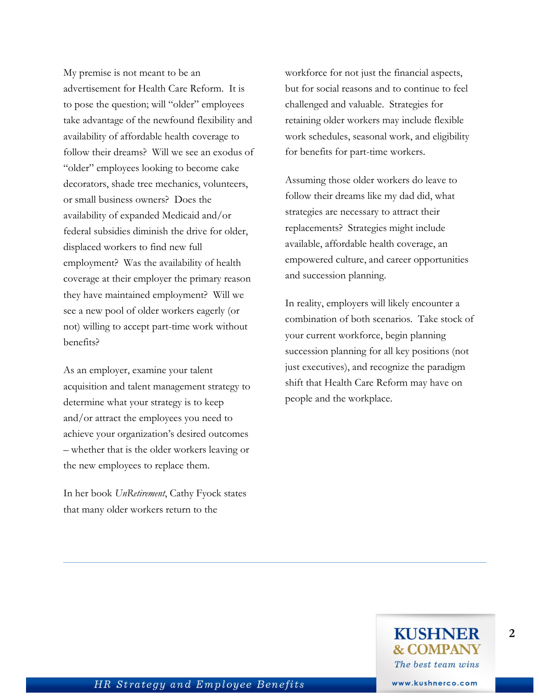My premise is not meant to be an advertisement for Health Care Reform. It is to pose the question; will "older" employees take advantage of the newfound flexibility and availability of affordable health coverage to follow their dreams? Will we see an exodus of "older" employees looking to become cake decorators, shade tree mechanics, volunteers, or small business owners? Does the availability of expanded Medicaid and/or federal subsidies diminish the drive for older, displaced workers to find new full employment? Was the availability of health coverage at their employer the primary reason they have maintained employment? Will we see a new pool of older workers eagerly (or not) willing to accept part-time work without benefits?

As an employer, examine your talent acquisition and talent management strategy to determine what your strategy is to keep and/or attract the employees you need to achieve your organization's desired outcomes – whether that is the older workers leaving or the new employees to replace them.

In her book *UnRetirement*, Cathy Fyock states that many older workers return to the

workforce for not just the financial aspects, but for social reasons and to continue to feel challenged and valuable. Strategies for retaining older workers may include flexible work schedules, seasonal work, and eligibility for benefits for part-time workers.

Assuming those older workers do leave to follow their dreams like my dad did, what strategies are necessary to attract their replacements? Strategies might include available, affordable health coverage, an empowered culture, and career opportunities and succession planning.

In reality, employers will likely encounter a combination of both scenarios. Take stock of your current workforce, begin planning succession planning for all key positions (not just executives), and recognize the paradigm shift that Health Care Reform may have on people and the workplace.

**2**